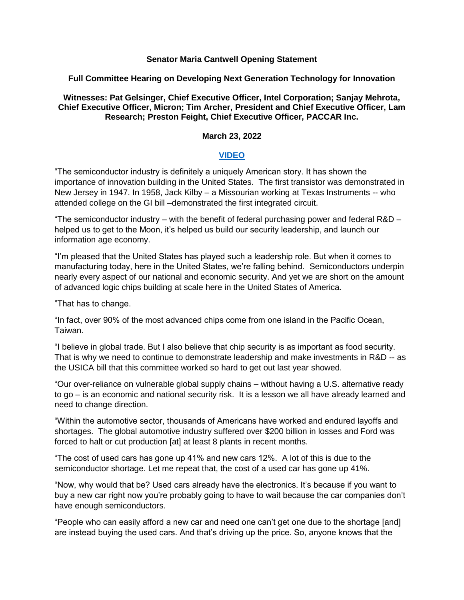## **Senator Maria Cantwell Opening Statement**

## **Full Committee Hearing on Developing Next Generation Technology for Innovation**

**Witnesses: Pat Gelsinger, Chief Executive Officer, Intel Corporation; Sanjay Mehrota, Chief Executive Officer, Micron; Tim Archer, President and Chief Executive Officer, Lam Research; Preston Feight, Chief Executive Officer, PACCAR Inc.**

## **March 23, 2022**

## **[VIDEO](https://www.youtube.com/watch?v=itMDnpSdNiU)**

"The semiconductor industry is definitely a uniquely American story. It has shown the importance of innovation building in the United States. The first transistor was demonstrated in New Jersey in 1947. In 1958, Jack Kilby – a Missourian working at Texas Instruments -- who attended college on the GI bill –demonstrated the first integrated circuit.

"The semiconductor industry – with the benefit of federal purchasing power and federal R&D – helped us to get to the Moon, it's helped us build our security leadership, and launch our information age economy.

"I'm pleased that the United States has played such a leadership role. But when it comes to manufacturing today, here in the United States, we're falling behind. Semiconductors underpin nearly every aspect of our national and economic security. And yet we are short on the amount of advanced logic chips building at scale here in the United States of America.

"That has to change.

"In fact, over 90% of the most advanced chips come from one island in the Pacific Ocean, Taiwan.

"I believe in global trade. But I also believe that chip security is as important as food security. That is why we need to continue to demonstrate leadership and make investments in R&D -- as the USICA bill that this committee worked so hard to get out last year showed.

"Our over-reliance on vulnerable global supply chains – without having a U.S. alternative ready to go – is an economic and national security risk. It is a lesson we all have already learned and need to change direction.

"Within the automotive sector, thousands of Americans have worked and endured layoffs and shortages. The global automotive industry suffered over \$200 billion in losses and Ford was forced to halt or cut production [at] at least 8 plants in recent months.

"The cost of used cars has gone up 41% and new cars 12%. A lot of this is due to the semiconductor shortage. Let me repeat that, the cost of a used car has gone up 41%.

"Now, why would that be? Used cars already have the electronics. It's because if you want to buy a new car right now you're probably going to have to wait because the car companies don't have enough semiconductors.

"People who can easily afford a new car and need one can't get one due to the shortage [and] are instead buying the used cars. And that's driving up the price. So, anyone knows that the